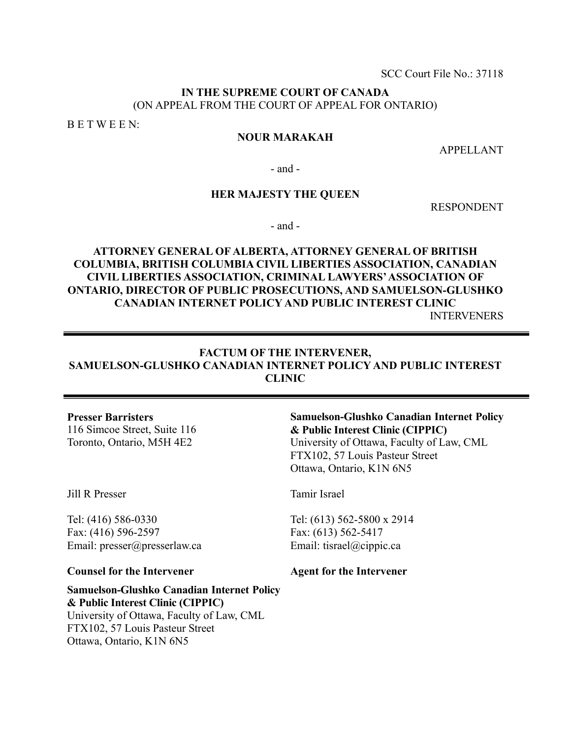SCC Court File No.: 37118

# **IN THE SUPREME COURT OF CANADA** (ON APPEAL FROM THE COURT OF APPEAL FOR ONTARIO)

B E T W E E N:

# **NOUR MARAKAH**

APPELLANT

- and -

# **HER MAJESTY THE QUEEN**

RESPONDENT

- and -

# **ATTORNEY GENERAL OF ALBERTA, ATTORNEY GENERAL OF BRITISH COLUMBIA, BRITISH COLUMBIA CIVIL LIBERTIES ASSOCIATION, CANADIAN CIVIL LIBERTIES ASSOCIATION, CRIMINAL LAWYERS' ASSOCIATION OF ONTARIO, DIRECTOR OF PUBLIC PROSECUTIONS, AND SAMUELSON-GLUSHKO CANADIAN INTERNET POLICY AND PUBLIC INTEREST CLINIC**  INTERVENERS

# **FACTUM OF THE INTERVENER, SAMUELSON-GLUSHKO CANADIAN INTERNET POLICY AND PUBLIC INTEREST CLINIC**

#### **Presser Barristers**

116 Simcoe Street, Suite 116 Toronto, Ontario, M5H 4E2

# **Samuelson-Glushko Canadian Internet Policy & Public Interest Clinic (CIPPIC)**  University of Ottawa, Faculty of Law, CML

FTX102, 57 Louis Pasteur Street Ottawa, Ontario, K1N 6N5

Jill R Presser

Tel: (416) 586-0330 Fax: (416) 596-2597 Email: presser@presserlaw.ca

#### **Counsel for the Intervener**

# **Samuelson-Glushko Canadian Internet Policy & Public Interest Clinic (CIPPIC)**  University of Ottawa, Faculty of Law, CML

FTX102, 57 Louis Pasteur Street Ottawa, Ontario, K1N 6N5

# Tamir Israel

Tel: (613) 562-5800 x 2914 Fax: (613) 562-5417 Email: tisrael@cippic.ca

**Agent for the Intervener**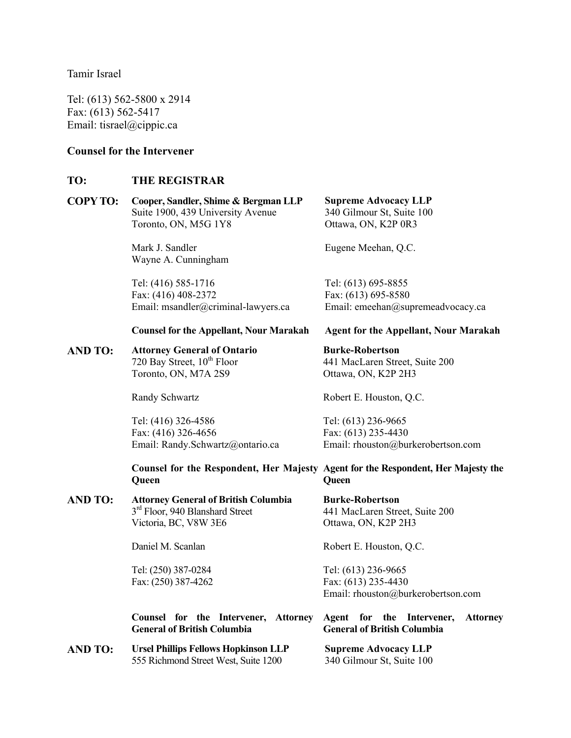Tamir Israel

Tel: (613) 562-5800 x 2914 Fax: (613) 562-5417 Email: tisrael@cippic.ca

# **Counsel for the Intervener**

# **TO: THE REGISTRAR**

| <b>COPY TO:</b> | Cooper, Sandler, Shime & Bergman LLP | <b>Supreme Advocacy LLP</b> |  |
|-----------------|--------------------------------------|-----------------------------|--|
|                 | Suite 1900, 439 University Avenue    | 340 Gilmour St, Suite 100   |  |
|                 | Toronto, ON, M5G 1Y8                 | Ottawa, ON, K2P 0R3         |  |
|                 | Mark J. Sandler                      | Eugene Meehan, Q.C.         |  |

Wayne A. Cunningham Tel: (416) 585-1716

Fax: (416) 408-2372 Email: msandler@criminal-lawyers.ca

#### **Counsel for the Appellant, Nour Marakah**

**AND TO: Attorney General of Ontario** 720 Bay Street,  $10^{th}$  Floor Toronto, ON, M7A 2S9

Randy Schwartz

Tel: (416) 326-4586 Fax: (416) 326-4656 Email: Randy.Schwartz@ontario.ca

**Counsel for the Respondent, Her Majesty Agent for the Respondent, Her Majesty the Queen Queen** 

**AND TO: Attorney General of British Columbia**  3<sup>rd</sup> Floor, 940 Blanshard Street Victoria, BC, V8W 3E6

Daniel M. Scanlan

Tel: (250) 387-0284 Fax: (250) 387-4262

# **Agent for the Appellant, Nour Marakah Burke-Robertson**

Email: emeehan@supremeadvocacy.ca

441 MacLaren Street, Suite 200 Ottawa, ON, K2P 2H3

Robert E. Houston, Q.C.

Tel: (613) 695-8855 Fax: (613) 695-8580

Tel: (613) 236-9665 Fax: (613) 235-4430 Email: rhouston@burkerobertson.com

**Burke-Robertson**  441 MacLaren Street, Suite 200 Ottawa, ON, K2P 2H3

Robert E. Houston, Q.C.

Tel: (613) 236-9665 Fax: (613) 235-4430 Email: rhouston@burkerobertson.com

#### **Counsel for the Intervener, Attorney General of British Columbia Agent for the Intervener, Attorney General of British Columbia**

**AND TO: Ursel Phillips Fellows Hopkinson LLP**  555 Richmond Street West, Suite 1200 **Supreme Advocacy LLP**  340 Gilmour St, Suite 100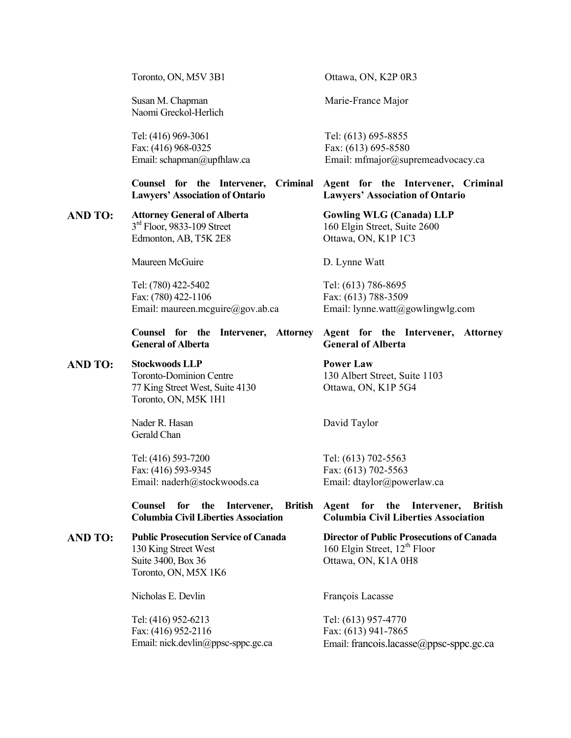Toronto, ON, M5V 3B1

Susan M. Chapman Naomi Greckol-Herlich

Tel: (416) 969-3061 Fax: (416) 968-0325 Email: schapman@upfhlaw.ca

**Counsel for the Intervener, Criminal Lawyers' Association of Ontario** 

# **AND TO: Attorney General of Alberta**  $3<sup>rd</sup>$  Floor, 9833-109 Street Edmonton, AB, T5K 2E8

Maureen McGuire

Tel: (780) 422-5402 Fax: (780) 422-1106 Email: maureen.mcguire@gov.ab.ca

#### **Counsel for the Intervener, Attorney General of Alberta**

#### **AND TO: Stockwoods LLP**

Toronto-Dominion Centre 77 King Street West, Suite 4130 Toronto, ON, M5K 1H1

Nader R. Hasan Gerald Chan

Tel: (416) 593-7200 Fax: (416) 593-9345 Email: naderh@stockwoods.ca

**Counsel for the Intervener, British Columbia Civil Liberties Association** 

**AND TO: Public Prosecution Service of Canada**  130 King Street West Suite 3400, Box 36 Toronto, ON, M5X 1K6

Nicholas E. Devlin

Tel: (416) 952-6213 Fax: (416) 952-2116 Email: nick.devlin@ppsc-sppc.gc.ca Ottawa, ON, K2P 0R3

Marie-France Major

Tel: (613) 695-8855 Fax: (613) 695-8580 Email: mfmajor@supremeadvocacy.ca

**Agent for the Intervener, Criminal Lawyers' Association of Ontario** 

> **Gowling WLG (Canada) LLP** 160 Elgin Street, Suite 2600 Ottawa, ON, K1P 1C3

D. Lynne Watt

Tel: (613) 786-8695 Fax: (613) 788-3509 Email: lynne.watt@gowlingwlg.com

# **Agent for the Intervener, Attorney General of Alberta**

**Power Law** 130 Albert Street, Suite 1103 Ottawa, ON, K1P 5G4

David Taylor

Tel: (613) 702-5563 Fax: (613) 702-5563 Email: dtaylor@powerlaw.ca

#### **Agent for the Intervener, British Columbia Civil Liberties Association**

**Director of Public Prosecutions of Canada**  160 Elgin Street,  $12<sup>th</sup>$  Floor Ottawa, ON, K1A 0H8

François Lacasse

Tel: (613) 957-4770 Fax: (613) 941-7865 Email: francois.lacasse@ppsc-sppc.gc.ca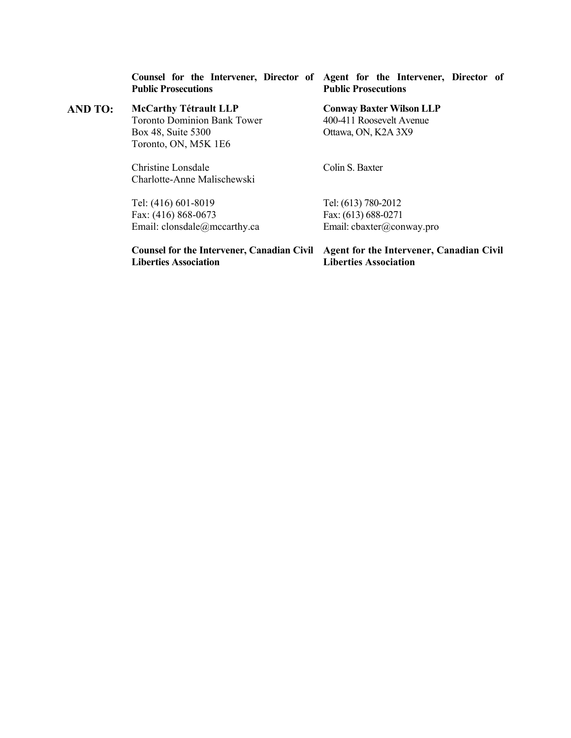**Public Prosecutions** 

**AND TO: McCarthy Tétrault LLP**  Toronto Dominion Bank Tower Box 48, Suite 5300 Toronto, ON, M5K 1E6

> Christine Lonsdale Charlotte-Anne Malischewski

Tel: (416) 601-8019 Fax: (416) 868-0673 Email: clonsdale@mccarthy.ca

**Counsel for the Intervener, Director of Agent for the Intervener, Director of Public Prosecutions** 

> **Conway Baxter Wilson LLP**  400-411 Roosevelt Avenue Ottawa, ON, K2A 3X9

Colin S. Baxter

Tel: (613) 780-2012 Fax: (613) 688-0271 Email: cbaxter@conway.pro

**Liberties Association** 

**Counsel for the Intervener, Canadian Civil Agent for the Intervener, Canadian Civil Liberties Association**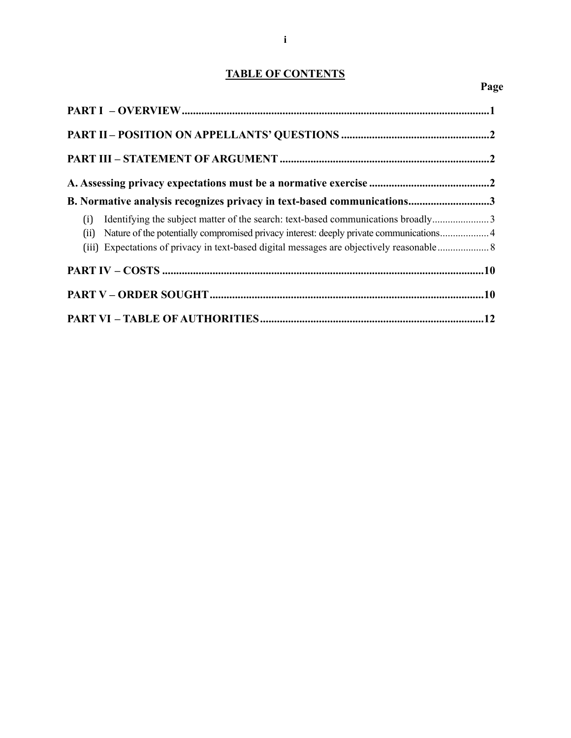# **TABLE OF CONTENTS**

**Page** 

| B. Normative analysis recognizes privacy in text-based communications3                                                                                                                 |  |
|----------------------------------------------------------------------------------------------------------------------------------------------------------------------------------------|--|
| Identifying the subject matter of the search: text-based communications broadly3<br>(i)<br>(ii) Nature of the potentially compromised privacy interest: deeply private communications4 |  |
|                                                                                                                                                                                        |  |
|                                                                                                                                                                                        |  |
|                                                                                                                                                                                        |  |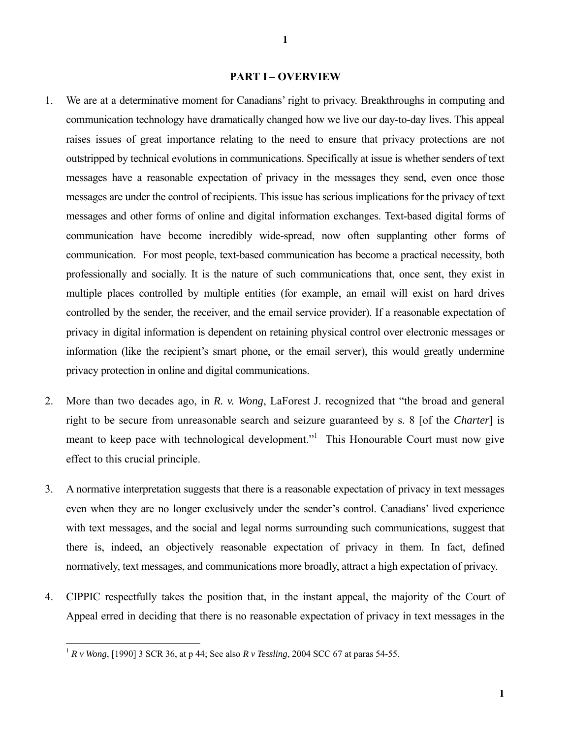#### **PART I – OVERVIEW**

- 1. We are at a determinative moment for Canadians' right to privacy. Breakthroughs in computing and communication technology have dramatically changed how we live our day-to-day lives. This appeal raises issues of great importance relating to the need to ensure that privacy protections are not outstripped by technical evolutions in communications. Specifically at issue is whether senders of text messages have a reasonable expectation of privacy in the messages they send, even once those messages are under the control of recipients. This issue has serious implications for the privacy of text messages and other forms of online and digital information exchanges. Text-based digital forms of communication have become incredibly wide-spread, now often supplanting other forms of communication. For most people, text-based communication has become a practical necessity, both professionally and socially. It is the nature of such communications that, once sent, they exist in multiple places controlled by multiple entities (for example, an email will exist on hard drives controlled by the sender, the receiver, and the email service provider). If a reasonable expectation of privacy in digital information is dependent on retaining physical control over electronic messages or information (like the recipient's smart phone, or the email server), this would greatly undermine privacy protection in online and digital communications.
- 2. More than two decades ago, in *R. v. Wong*, LaForest J. recognized that "the broad and general right to be secure from unreasonable search and seizure guaranteed by s. 8 [of the *Charter*] is meant to keep pace with technological development."<sup>1</sup> This Honourable Court must now give effect to this crucial principle.
- 3. A normative interpretation suggests that there is a reasonable expectation of privacy in text messages even when they are no longer exclusively under the sender's control. Canadians' lived experience with text messages, and the social and legal norms surrounding such communications, suggest that there is, indeed, an objectively reasonable expectation of privacy in them. In fact, defined normatively, text messages, and communications more broadly, attract a high expectation of privacy.
- 4. CIPPIC respectfully takes the position that, in the instant appeal, the majority of the Court of Appeal erred in deciding that there is no reasonable expectation of privacy in text messages in the

<sup>1</sup> *R v Wong*, [1990] 3 SCR 36, at p 44; See also *R v Tessling*, 2004 SCC 67 at paras 54-55.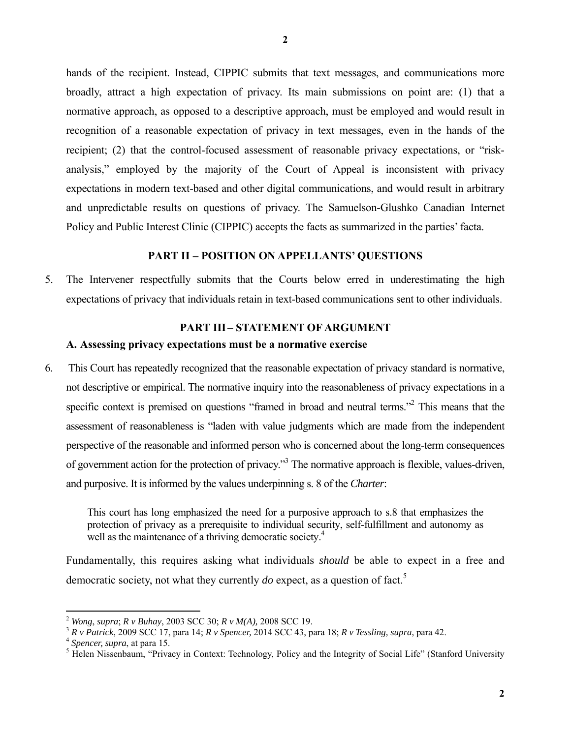hands of the recipient. Instead, CIPPIC submits that text messages, and communications more broadly, attract a high expectation of privacy. Its main submissions on point are: (1) that a normative approach, as opposed to a descriptive approach, must be employed and would result in recognition of a reasonable expectation of privacy in text messages, even in the hands of the recipient; (2) that the control-focused assessment of reasonable privacy expectations, or "riskanalysis," employed by the majority of the Court of Appeal is inconsistent with privacy expectations in modern text-based and other digital communications, and would result in arbitrary and unpredictable results on questions of privacy. The Samuelson-Glushko Canadian Internet Policy and Public Interest Clinic (CIPPIC) accepts the facts as summarized in the parties' facta.

# **PART II – POSITION ON APPELLANTS' QUESTIONS**

5. The Intervener respectfully submits that the Courts below erred in underestimating the high expectations of privacy that individuals retain in text-based communications sent to other individuals.

#### **PART III– STATEMENT OF ARGUMENT**

### **A. Assessing privacy expectations must be a normative exercise**

6. This Court has repeatedly recognized that the reasonable expectation of privacy standard is normative, not descriptive or empirical. The normative inquiry into the reasonableness of privacy expectations in a specific context is premised on questions "framed in broad and neutral terms."<sup>2</sup> This means that the assessment of reasonableness is "laden with value judgments which are made from the independent perspective of the reasonable and informed person who is concerned about the long-term consequences of government action for the protection of privacy."<sup>3</sup> The normative approach is flexible, values-driven, and purposive. It is informed by the values underpinning s. 8 of the *Charter*:

This court has long emphasized the need for a purposive approach to s.8 that emphasizes the protection of privacy as a prerequisite to individual security, self-fulfillment and autonomy as well as the maintenance of a thriving democratic society.<sup>4</sup>

Fundamentally, this requires asking what individuals *should* be able to expect in a free and democratic society, not what they currently  $do$  expect, as a question of fact.<sup>5</sup>

<sup>2</sup> *Wong*, *supra*; *R v Buhay*, 2003 SCC 30; *R v M(A),* 2008 SCC 19.

<sup>3</sup> *R v Patrick*, 2009 SCC 17, para 14; *R v Spencer,* 2014 SCC 43, para 18; *R v Tessling, supra*, para 42. 4 *Spencer, supra*, at para 15. 5

<sup>&</sup>lt;sup>5</sup> Helen Nissenbaum, "Privacy in Context: Technology, Policy and the Integrity of Social Life" (Stanford University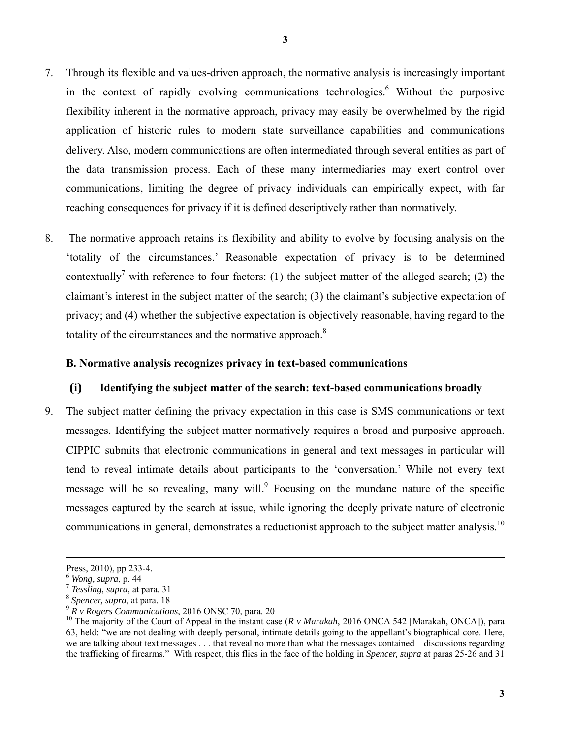- 7. Through its flexible and values-driven approach, the normative analysis is increasingly important in the context of rapidly evolving communications technologies. Without the purposive flexibility inherent in the normative approach, privacy may easily be overwhelmed by the rigid application of historic rules to modern state surveillance capabilities and communications delivery. Also, modern communications are often intermediated through several entities as part of the data transmission process. Each of these many intermediaries may exert control over communications, limiting the degree of privacy individuals can empirically expect, with far reaching consequences for privacy if it is defined descriptively rather than normatively.
- 8. The normative approach retains its flexibility and ability to evolve by focusing analysis on the 'totality of the circumstances.' Reasonable expectation of privacy is to be determined contextually<sup>7</sup> with reference to four factors: (1) the subject matter of the alleged search; (2) the claimant's interest in the subject matter of the search; (3) the claimant's subjective expectation of privacy; and (4) whether the subjective expectation is objectively reasonable, having regard to the totality of the circumstances and the normative approach.<sup>8</sup>

# **B. Normative analysis recognizes privacy in text-based communications**

# **(i) Identifying the subject matter of the search: text-based communications broadly**

9. The subject matter defining the privacy expectation in this case is SMS communications or text messages. Identifying the subject matter normatively requires a broad and purposive approach. CIPPIC submits that electronic communications in general and text messages in particular will tend to reveal intimate details about participants to the 'conversation.' While not every text message will be so revealing, many will. Focusing on the mundane nature of the specific messages captured by the search at issue, while ignoring the deeply private nature of electronic communications in general, demonstrates a reductionist approach to the subject matter analysis.<sup>10</sup>

Press, 2010), pp 233-4.

 $\frac{6}{7}$  *Wong, supra, p.* 44<br> $\frac{7}{7}$  *Tessling, supra, at para.* 31

<sup>8</sup> *Spencer, supra*, at para. 18

<sup>9</sup> *R v Rogers Communications*, 2016 ONSC 70, para. 20

<sup>&</sup>lt;sup>10</sup> The majority of the Court of Appeal in the instant case (*R v Marakah*, 2016 ONCA 542 [Marakah, ONCA]), para 63, held: "we are not dealing with deeply personal, intimate details going to the appellant's biographical core. Here, we are talking about text messages . . . that reveal no more than what the messages contained – discussions regarding the trafficking of firearms." With respect, this flies in the face of the holding in *Spencer, supra* at paras 25-26 and 31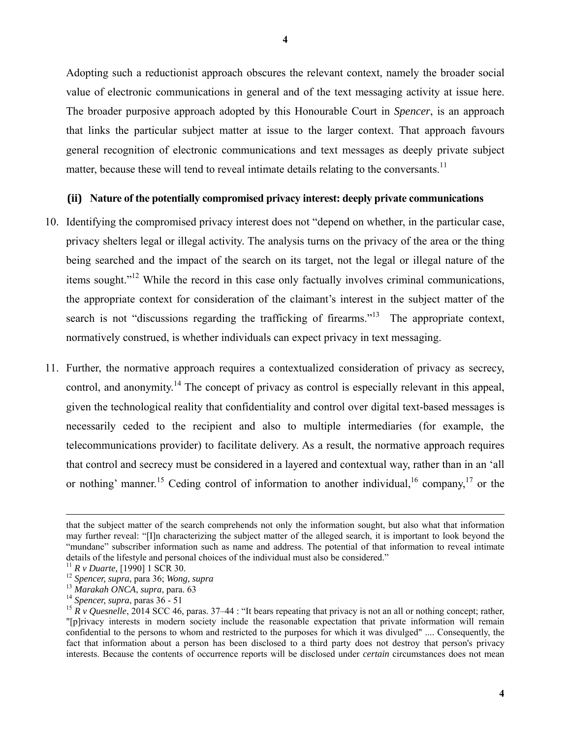Adopting such a reductionist approach obscures the relevant context, namely the broader social value of electronic communications in general and of the text messaging activity at issue here. The broader purposive approach adopted by this Honourable Court in *Spencer*, is an approach that links the particular subject matter at issue to the larger context. That approach favours general recognition of electronic communications and text messages as deeply private subject matter, because these will tend to reveal intimate details relating to the conversants.<sup>11</sup>

#### **(ii) Nature of the potentially compromised privacy interest: deeply private communications**

- 10. Identifying the compromised privacy interest does not "depend on whether, in the particular case, privacy shelters legal or illegal activity. The analysis turns on the privacy of the area or the thing being searched and the impact of the search on its target, not the legal or illegal nature of the items sought."<sup>12</sup> While the record in this case only factually involves criminal communications, the appropriate context for consideration of the claimant's interest in the subject matter of the search is not "discussions regarding the trafficking of firearms."<sup>13</sup> The appropriate context, normatively construed, is whether individuals can expect privacy in text messaging.
- 11. Further, the normative approach requires a contextualized consideration of privacy as secrecy, control, and anonymity.<sup>14</sup> The concept of privacy as control is especially relevant in this appeal, given the technological reality that confidentiality and control over digital text-based messages is necessarily ceded to the recipient and also to multiple intermediaries (for example, the telecommunications provider) to facilitate delivery. As a result, the normative approach requires that control and secrecy must be considered in a layered and contextual way, rather than in an 'all or nothing' manner.<sup>15</sup> Ceding control of information to another individual, <sup>16</sup> company,<sup>17</sup> or the

that the subject matter of the search comprehends not only the information sought, but also what that information may further reveal: "[I]n characterizing the subject matter of the alleged search, it is important to look beyond the "mundane" subscriber information such as name and address. The potential of that information to reveal intimate details of the lifestyle and personal choices of the individual must also be considered."<br><sup>11</sup> *R v Duarte*, [1990] 1 SCR 30.<br><sup>12</sup> *Spencer, supra*, para 36; *Wong, supra*<br><sup>13</sup> *Marakah ONCA, supra*, para 63

<sup>13</sup> *Marakah ONCA*, *supra*, para. 63 14 *Spencer, supra*, paras 36 - 51

<sup>&</sup>lt;sup>15</sup>  $\hat{R}$  v Quesnelle, 2014 SCC 46, paras. 37–44 : "It bears repeating that privacy is not an all or nothing concept; rather, "[p]rivacy interests in modern society include the reasonable expectation that private information will remain confidential to the persons to whom and restricted to the purposes for which it was divulged" .... Consequently, the fact that information about a person has been disclosed to a third party does not destroy that person's privacy interests. Because the contents of occurrence reports will be disclosed under *certain* circumstances does not mean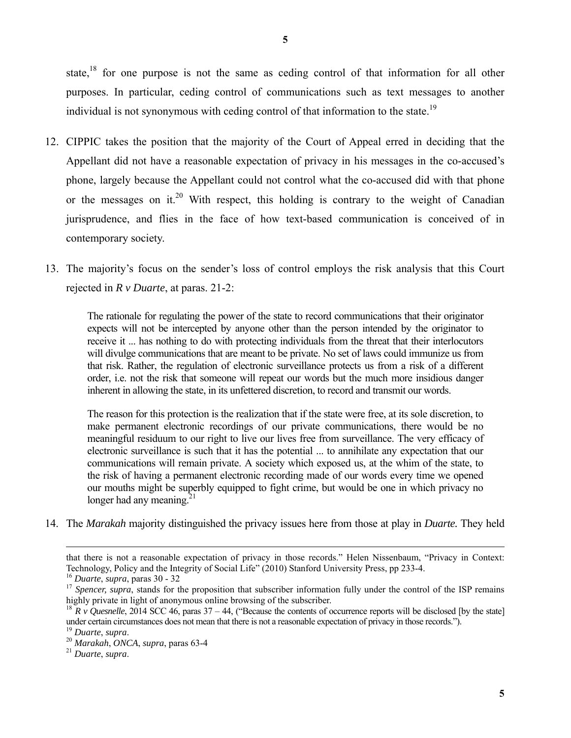state,<sup>18</sup> for one purpose is not the same as ceding control of that information for all other purposes. In particular, ceding control of communications such as text messages to another individual is not synonymous with ceding control of that information to the state.<sup>19</sup>

- 12. CIPPIC takes the position that the majority of the Court of Appeal erred in deciding that the Appellant did not have a reasonable expectation of privacy in his messages in the co-accused's phone, largely because the Appellant could not control what the co-accused did with that phone or the messages on it.<sup>20</sup> With respect, this holding is contrary to the weight of Canadian jurisprudence, and flies in the face of how text-based communication is conceived of in contemporary society.
- 13. The majority's focus on the sender's loss of control employs the risk analysis that this Court rejected in *R v Duarte*, at paras. 21-2:

The rationale for regulating the power of the state to record communications that their originator expects will not be intercepted by anyone other than the person intended by the originator to receive it ... has nothing to do with protecting individuals from the threat that their interlocutors will divulge communications that are meant to be private. No set of laws could immunize us from that risk. Rather, the regulation of electronic surveillance protects us from a risk of a different order, i.e. not the risk that someone will repeat our words but the much more insidious danger inherent in allowing the state, in its unfettered discretion, to record and transmit our words.

The reason for this protection is the realization that if the state were free, at its sole discretion, to make permanent electronic recordings of our private communications, there would be no meaningful residuum to our right to live our lives free from surveillance. The very efficacy of electronic surveillance is such that it has the potential ... to annihilate any expectation that our communications will remain private. A society which exposed us, at the whim of the state, to the risk of having a permanent electronic recording made of our words every time we opened our mouths might be superbly equipped to fight crime, but would be one in which privacy no longer had any meaning. $21$ 

14. The *Marakah* majority distinguished the privacy issues here from those at play in *Duarte.* They held

that there is not a reasonable expectation of privacy in those records." Helen Nissenbaum, "Privacy in Context: Technology, Policy and the Integrity of Social Life" (2010) Stanford University Press, pp 233-4.

<sup>16</sup> *Duarte*, *supra*, paras 30 - 32

<sup>&</sup>lt;sup>17</sup> Spencer, supra, stands for the proposition that subscriber information fully under the control of the ISP remains highly private in light of anonymous online browsing of the subscriber.

<sup>&</sup>lt;sup>18</sup>  $R$  *v* Quesnelle, 2014 SCC 46, paras 37 – 44, ("Because the contents of occurrence reports will be disclosed [by the state] under certain circumstances does not mean that there is not a reasonable expectation of privacy in those records.").<br><sup>19</sup> Duarte, supra.

<sup>19</sup> *Duarte*, *supra*. 20 *Marakah*, *ONCA*, *supra*, paras 63-4 21 *Duarte*, *supra*.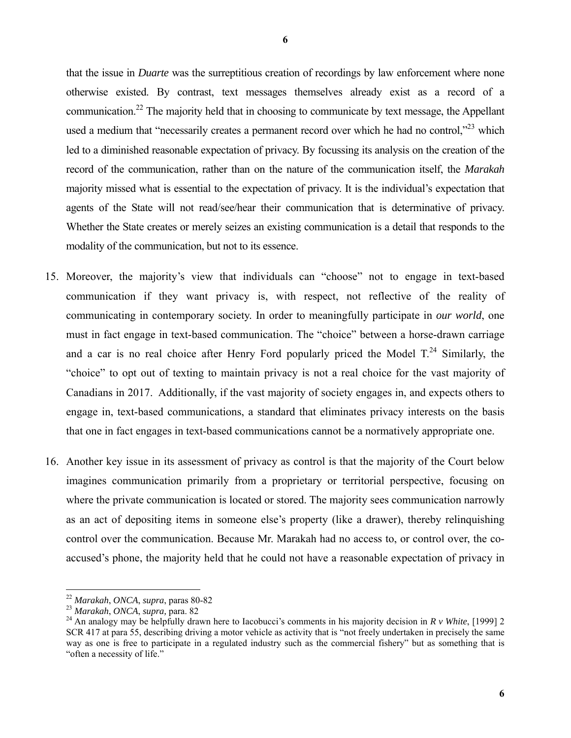that the issue in *Duarte* was the surreptitious creation of recordings by law enforcement where none otherwise existed. By contrast, text messages themselves already exist as a record of a communication.<sup>22</sup> The majority held that in choosing to communicate by text message, the Appellant used a medium that "necessarily creates a permanent record over which he had no control, $\frac{1}{2}$ " which led to a diminished reasonable expectation of privacy. By focussing its analysis on the creation of the record of the communication, rather than on the nature of the communication itself, the *Marakah* majority missed what is essential to the expectation of privacy. It is the individual's expectation that agents of the State will not read/see/hear their communication that is determinative of privacy. Whether the State creates or merely seizes an existing communication is a detail that responds to the modality of the communication, but not to its essence.

- 15. Moreover, the majority's view that individuals can "choose" not to engage in text-based communication if they want privacy is, with respect, not reflective of the reality of communicating in contemporary society. In order to meaningfully participate in *our world*, one must in fact engage in text-based communication. The "choice" between a horse-drawn carriage and a car is no real choice after Henry Ford popularly priced the Model  $T<sup>24</sup>$  Similarly, the "choice" to opt out of texting to maintain privacy is not a real choice for the vast majority of Canadians in 2017. Additionally, if the vast majority of society engages in, and expects others to engage in, text-based communications, a standard that eliminates privacy interests on the basis that one in fact engages in text-based communications cannot be a normatively appropriate one.
- 16. Another key issue in its assessment of privacy as control is that the majority of the Court below imagines communication primarily from a proprietary or territorial perspective, focusing on where the private communication is located or stored. The majority sees communication narrowly as an act of depositing items in someone else's property (like a drawer), thereby relinquishing control over the communication. Because Mr. Marakah had no access to, or control over, the coaccused's phone, the majority held that he could not have a reasonable expectation of privacy in

<sup>22</sup> *Marakah*, *ONCA*, *supra*, paras 80-82

<sup>&</sup>lt;sup>24</sup> An analogy may be helpfully drawn here to Iacobucci's comments in his majority decision in  $R v$  White, [1999] 2 SCR 417 at para 55, describing driving a motor vehicle as activity that is "not freely undertaken in precisely the same way as one is free to participate in a regulated industry such as the commercial fishery" but as something that is "often a necessity of life."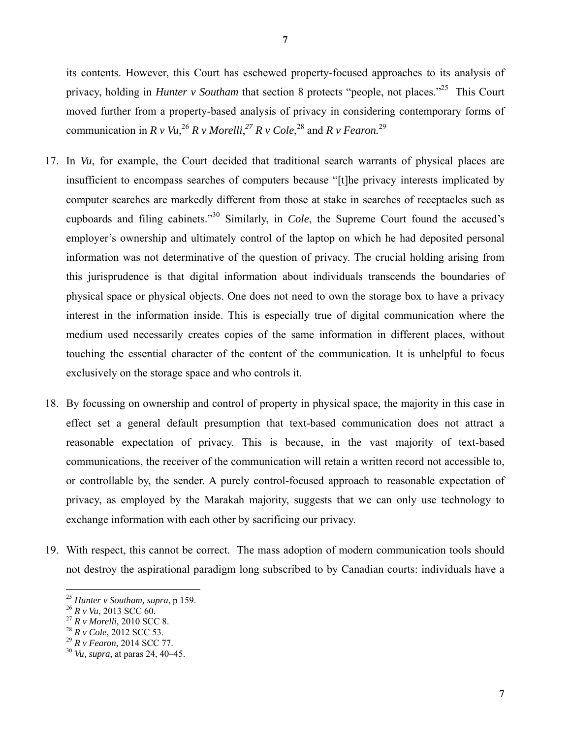its contents. However, this Court has eschewed property-focused approaches to its analysis of privacy, holding in *Hunter v Southam* that section 8 protects "people, not places."<sup>25</sup> This Court moved further from a property-based analysis of privacy in considering contemporary forms of communication in *R v Vu*, <sup>26</sup> *R v Morelli*, *<sup>27</sup> R v Cole*, 28 and *R v Fearon.*<sup>29</sup>

- 17. In *Vu*, for example, the Court decided that traditional search warrants of physical places are insufficient to encompass searches of computers because "[t]he privacy interests implicated by computer searches are markedly different from those at stake in searches of receptacles such as cupboards and filing cabinets."30 Similarly, in *Cole*, the Supreme Court found the accused's employer's ownership and ultimately control of the laptop on which he had deposited personal information was not determinative of the question of privacy. The crucial holding arising from this jurisprudence is that digital information about individuals transcends the boundaries of physical space or physical objects. One does not need to own the storage box to have a privacy interest in the information inside. This is especially true of digital communication where the medium used necessarily creates copies of the same information in different places, without touching the essential character of the content of the communication. It is unhelpful to focus exclusively on the storage space and who controls it.
- 18. By focussing on ownership and control of property in physical space, the majority in this case in effect set a general default presumption that text-based communication does not attract a reasonable expectation of privacy. This is because, in the vast majority of text-based communications, the receiver of the communication will retain a written record not accessible to, or controllable by, the sender. A purely control-focused approach to reasonable expectation of privacy, as employed by the Marakah majority, suggests that we can only use technology to exchange information with each other by sacrificing our privacy.
- 19. With respect, this cannot be correct. The mass adoption of modern communication tools should not destroy the aspirational paradigm long subscribed to by Canadian courts: individuals have a

<sup>25</sup> *Hunter v Southam, supra*, p 159.

<sup>26</sup> *R v Vu*, 2013 SCC 60.

<sup>27</sup> *R v Morelli,* 2010 SCC 8.

<sup>28</sup> *R v Cole*, 2012 SCC 53.

<sup>29</sup> *R v Fearon,* 2014 SCC 77.

<sup>30</sup> *Vu, supra*, at paras 24, 40–45.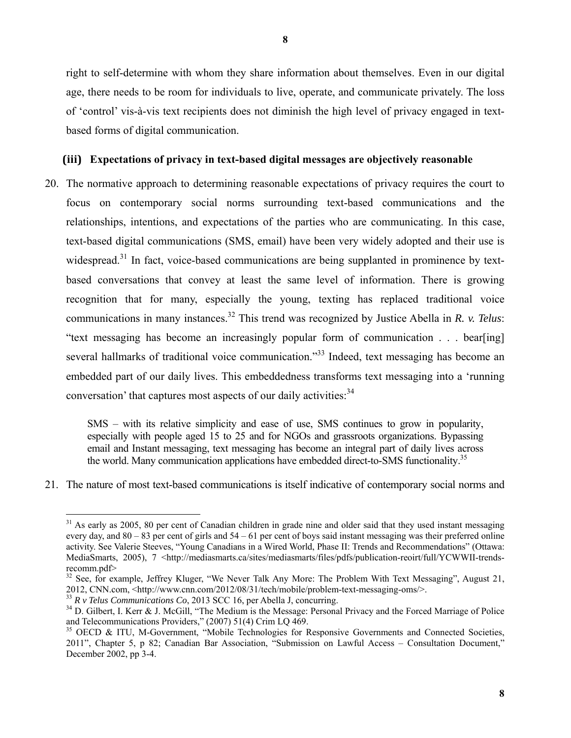right to self-determine with whom they share information about themselves. Even in our digital age, there needs to be room for individuals to live, operate, and communicate privately. The loss of 'control' vis-à-vis text recipients does not diminish the high level of privacy engaged in textbased forms of digital communication.

# **(iii) Expectations of privacy in text-based digital messages are objectively reasonable**

20. The normative approach to determining reasonable expectations of privacy requires the court to focus on contemporary social norms surrounding text-based communications and the relationships, intentions, and expectations of the parties who are communicating. In this case, text-based digital communications (SMS, email) have been very widely adopted and their use is widespread.<sup>31</sup> In fact, voice-based communications are being supplanted in prominence by textbased conversations that convey at least the same level of information. There is growing recognition that for many, especially the young, texting has replaced traditional voice communications in many instances.32 This trend was recognized by Justice Abella in *R. v. Telus*: "text messaging has become an increasingly popular form of communication . . . bear[ing] several hallmarks of traditional voice communication."<sup>33</sup> Indeed, text messaging has become an embedded part of our daily lives. This embeddedness transforms text messaging into a 'running conversation' that captures most aspects of our daily activities:<sup>34</sup>

SMS – with its relative simplicity and ease of use, SMS continues to grow in popularity, especially with people aged 15 to 25 and for NGOs and grassroots organizations. Bypassing email and Instant messaging, text messaging has become an integral part of daily lives across the world. Many communication applications have embedded direct-to-SMS functionality.<sup>35</sup>

21. The nature of most text-based communications is itself indicative of contemporary social norms and

<sup>&</sup>lt;sup>31</sup> As early as 2005, 80 per cent of Canadian children in grade nine and older said that they used instant messaging every day, and  $80 - 83$  per cent of girls and  $54 - 61$  per cent of boys said instant messaging was their preferred online activity. See Valerie Steeves, "Young Canadians in a Wired World, Phase II: Trends and Recommendations" (Ottawa: MediaSmarts, 2005), 7 <http://mediasmarts.ca/sites/mediasmarts/files/pdfs/publication-reoirt/full/YCWWII-trendsrecomm.pdf>

<sup>&</sup>lt;sup>32</sup> See, for example, Jeffrey Kluger, "We Never Talk Any More: The Problem With Text Messaging", August 21, 2012, CNN.com, <http://www.cnn.com/2012/08/31/tech/mobile/problem-text-messaging-oms/>.

<sup>33</sup> *R v Telus Communications Co*, 2013 SCC 16, per Abella J, concurring.

<sup>&</sup>lt;sup>34</sup> D. Gilbert, I. Kerr & J. McGill, "The Medium is the Message: Personal Privacy and the Forced Marriage of Police and Telecommunications Providers," (2007) 51(4) Crim LQ 469.

<sup>&</sup>lt;sup>35</sup> OECD & ITU, M-Government, "Mobile Technologies for Responsive Governments and Connected Societies, 2011", Chapter 5, p 82; Canadian Bar Association, "Submission on Lawful Access – Consultation Document," December 2002, pp 3-4.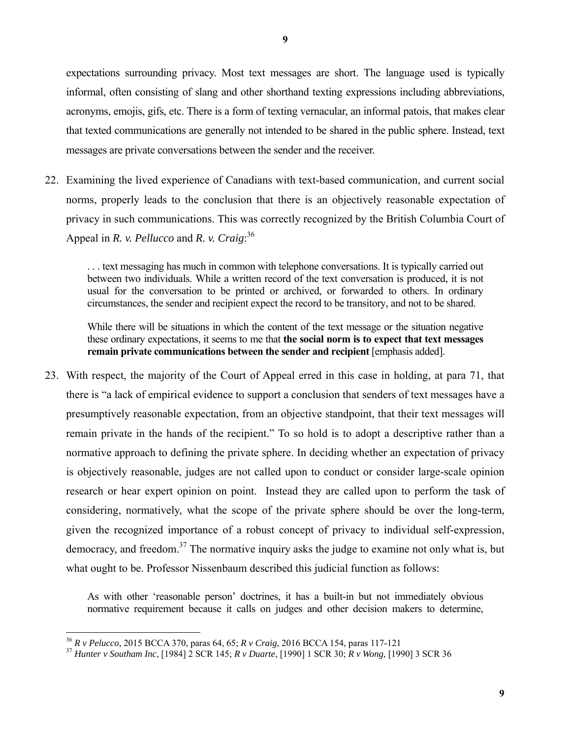expectations surrounding privacy. Most text messages are short. The language used is typically informal, often consisting of slang and other shorthand texting expressions including abbreviations, acronyms, emojis, gifs, etc. There is a form of texting vernacular, an informal patois, that makes clear that texted communications are generally not intended to be shared in the public sphere. Instead, text messages are private conversations between the sender and the receiver.

22. Examining the lived experience of Canadians with text-based communication, and current social norms, properly leads to the conclusion that there is an objectively reasonable expectation of privacy in such communications. This was correctly recognized by the British Columbia Court of Appeal in *R. v. Pellucco* and *R. v. Craig*: 36

. . . text messaging has much in common with telephone conversations. It is typically carried out between two individuals. While a written record of the text conversation is produced, it is not usual for the conversation to be printed or archived, or forwarded to others. In ordinary circumstances, the sender and recipient expect the record to be transitory, and not to be shared.

While there will be situations in which the content of the text message or the situation negative these ordinary expectations, it seems to me that **the social norm is to expect that text messages remain private communications between the sender and recipient** [emphasis added].

23. With respect, the majority of the Court of Appeal erred in this case in holding, at para 71, that there is "a lack of empirical evidence to support a conclusion that senders of text messages have a presumptively reasonable expectation, from an objective standpoint, that their text messages will remain private in the hands of the recipient." To so hold is to adopt a descriptive rather than a normative approach to defining the private sphere. In deciding whether an expectation of privacy is objectively reasonable, judges are not called upon to conduct or consider large-scale opinion research or hear expert opinion on point. Instead they are called upon to perform the task of considering, normatively, what the scope of the private sphere should be over the long-term, given the recognized importance of a robust concept of privacy to individual self-expression, democracy, and freedom.<sup>37</sup> The normative inquiry asks the judge to examine not only what is, but what ought to be. Professor Nissenbaum described this judicial function as follows:

As with other 'reasonable person' doctrines, it has a built-in but not immediately obvious normative requirement because it calls on judges and other decision makers to determine,

<sup>36</sup> *R v Pelucco*, 2015 BCCA 370, paras 64, 65; *R v Craig*, 2016 BCCA 154, paras 117-121

<sup>37</sup> *Hunter v Southam Inc*, [1984] 2 SCR 145; *R v Duarte*, [1990] 1 SCR 30; *R v Wong,* [1990] 3 SCR 36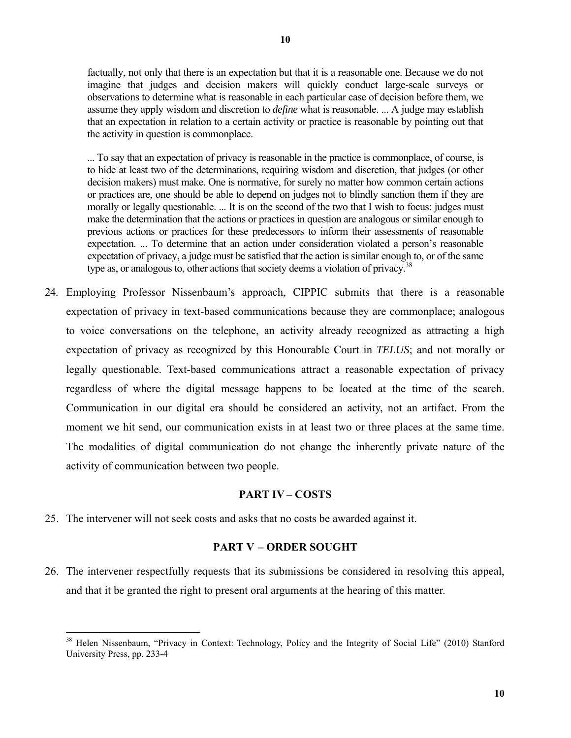**10** 

factually, not only that there is an expectation but that it is a reasonable one. Because we do not imagine that judges and decision makers will quickly conduct large-scale surveys or observations to determine what is reasonable in each particular case of decision before them, we assume they apply wisdom and discretion to *define* what is reasonable. ... A judge may establish that an expectation in relation to a certain activity or practice is reasonable by pointing out that the activity in question is commonplace.

... To say that an expectation of privacy is reasonable in the practice is commonplace, of course, is to hide at least two of the determinations, requiring wisdom and discretion, that judges (or other decision makers) must make. One is normative, for surely no matter how common certain actions or practices are, one should be able to depend on judges not to blindly sanction them if they are morally or legally questionable. ... It is on the second of the two that I wish to focus: judges must make the determination that the actions or practices in question are analogous or similar enough to previous actions or practices for these predecessors to inform their assessments of reasonable expectation. ... To determine that an action under consideration violated a person's reasonable expectation of privacy, a judge must be satisfied that the action is similar enough to, or of the same type as, or analogous to, other actions that society deems a violation of privacy.<sup>38</sup>

24. Employing Professor Nissenbaum's approach, CIPPIC submits that there is a reasonable expectation of privacy in text-based communications because they are commonplace; analogous to voice conversations on the telephone, an activity already recognized as attracting a high expectation of privacy as recognized by this Honourable Court in *TELUS*; and not morally or legally questionable. Text-based communications attract a reasonable expectation of privacy regardless of where the digital message happens to be located at the time of the search. Communication in our digital era should be considered an activity, not an artifact. From the moment we hit send, our communication exists in at least two or three places at the same time. The modalities of digital communication do not change the inherently private nature of the activity of communication between two people.

# **PART IV – COSTS**

25. The intervener will not seek costs and asks that no costs be awarded against it.

 $\overline{a}$ 

# **PART V – ORDER SOUGHT**

26. The intervener respectfully requests that its submissions be considered in resolving this appeal, and that it be granted the right to present oral arguments at the hearing of this matter.

<sup>&</sup>lt;sup>38</sup> Helen Nissenbaum, "Privacy in Context: Technology, Policy and the Integrity of Social Life" (2010) Stanford University Press, pp. 233-4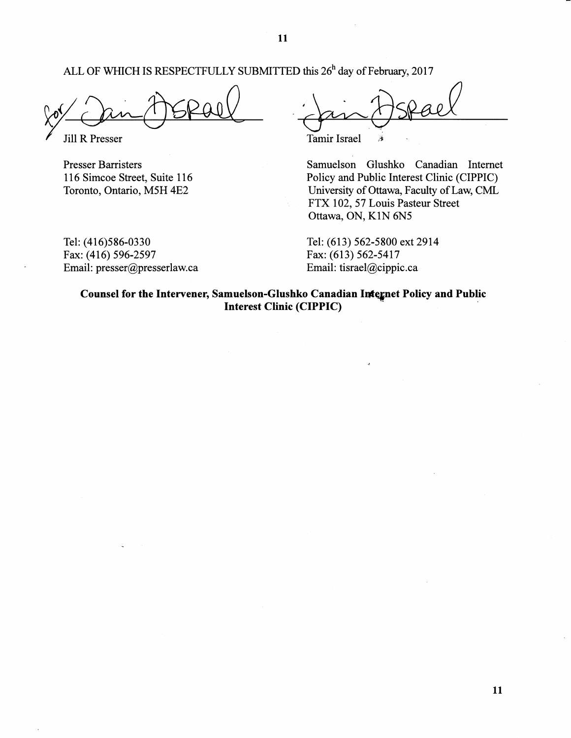ALL OF WHICH IS RESPECTFULLY SUBMITTED this 26<sup>h</sup> day of February, 2017

**Jill R Presser** 

**Presser Barristers** 116 Simcoe Street, Suite 116 Toronto, Ontario, M5H 4E2

Tel: (416)586-0330 Fax: (416) 596-2597 Email: presser@presserlaw.ca

**Tamir Israel** Ä

Samuelson Glushko Canadian Internet Policy and Public Interest Clinic (CIPPIC) University of Ottawa, Faculty of Law, CML FTX 102, 57 Louis Pasteur Street Ottawa, ON, K1N 6N5

Tel: (613) 562-5800 ext 2914 Fax: (613) 562-5417 Email: tisrael@cippic.ca

Counsel for the Intervener, Samuelson-Glushko Canadian Integnet Policy and Public **Interest Clinic (CIPPIC)**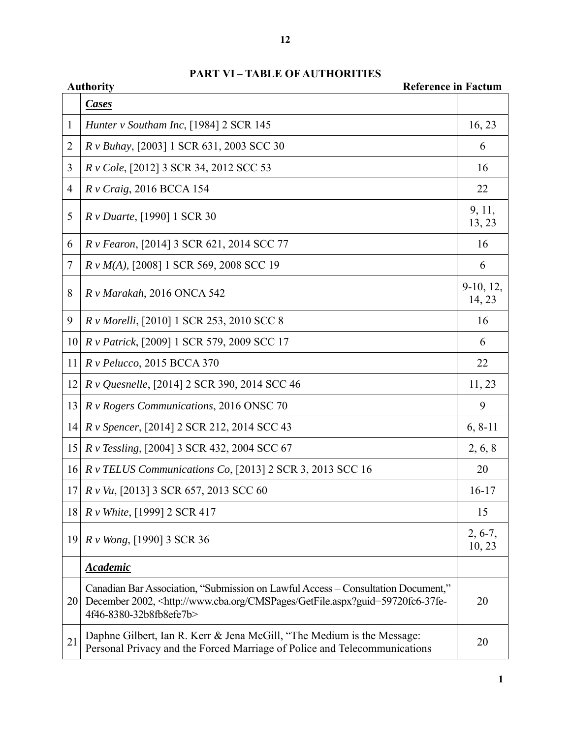| <b>Authority</b><br><b>Reference in Factum</b> |                                                                                                                                                                                                                  |                     |
|------------------------------------------------|------------------------------------------------------------------------------------------------------------------------------------------------------------------------------------------------------------------|---------------------|
|                                                | <b>Cases</b>                                                                                                                                                                                                     |                     |
| 1                                              | Hunter v Southam Inc, [1984] 2 SCR 145                                                                                                                                                                           | 16, 23              |
| $\overline{2}$                                 | R v Buhay, [2003] 1 SCR 631, 2003 SCC 30                                                                                                                                                                         | 6                   |
| 3                                              | R v Cole, [2012] 3 SCR 34, 2012 SCC 53                                                                                                                                                                           | 16                  |
| $\overline{4}$                                 | $R$ v Craig, 2016 BCCA 154                                                                                                                                                                                       | 22                  |
| 5                                              | <i>R v Duarte</i> , [1990] 1 SCR 30                                                                                                                                                                              | 9, 11,<br>13, 23    |
| 6                                              | <i>R v Fearon</i> , [2014] 3 SCR 621, 2014 SCC 77                                                                                                                                                                | 16                  |
| 7                                              | R v M(A), [2008] 1 SCR 569, 2008 SCC 19                                                                                                                                                                          | 6                   |
| 8                                              | R v Marakah, 2016 ONCA 542                                                                                                                                                                                       | 9-10, 12,<br>14, 23 |
| 9                                              | R v Morelli, [2010] 1 SCR 253, 2010 SCC 8                                                                                                                                                                        | 16                  |
| 10                                             | R v Patrick, [2009] 1 SCR 579, 2009 SCC 17                                                                                                                                                                       | 6                   |
| 11                                             | $R$ v Pelucco, 2015 BCCA 370                                                                                                                                                                                     | 22                  |
| 12                                             | R v Quesnelle, [2014] 2 SCR 390, 2014 SCC 46                                                                                                                                                                     | 11, 23              |
| 13                                             | R v Rogers Communications, 2016 ONSC 70                                                                                                                                                                          | 9                   |
| 14                                             | R v Spencer, [2014] 2 SCR 212, 2014 SCC 43                                                                                                                                                                       | $6, 8-11$           |
| 15                                             | <i>R v Tessling</i> , [2004] 3 SCR 432, 2004 SCC 67                                                                                                                                                              | 2, 6, 8             |
| 16                                             | R v TELUS Communications Co, [2013] 2 SCR 3, 2013 SCC 16                                                                                                                                                         | 20                  |
| 17                                             | <i>R v Vu</i> , [2013] 3 SCR 657, 2013 SCC 60                                                                                                                                                                    | $16-17$             |
| 18                                             | R v White, [1999] 2 SCR 417                                                                                                                                                                                      | 15                  |
| 19                                             | R v Wong, [1990] 3 SCR 36                                                                                                                                                                                        | $2, 6-7,$<br>10, 23 |
|                                                | <b>Academic</b>                                                                                                                                                                                                  |                     |
| 20                                             | Canadian Bar Association, "Submission on Lawful Access – Consultation Document,"<br>December 2002, <http: cmspages="" getfile.aspx?guid="59720fc6-37fe-&lt;br" www.cba.org="">4f46-8380-32b8fb8efe7b&gt;</http:> | 20                  |
| 21                                             | Daphne Gilbert, Ian R. Kerr & Jena McGill, "The Medium is the Message:<br>Personal Privacy and the Forced Marriage of Police and Telecommunications                                                              | 20                  |

# **PART VI – TABLE OF AUTHORITIES**